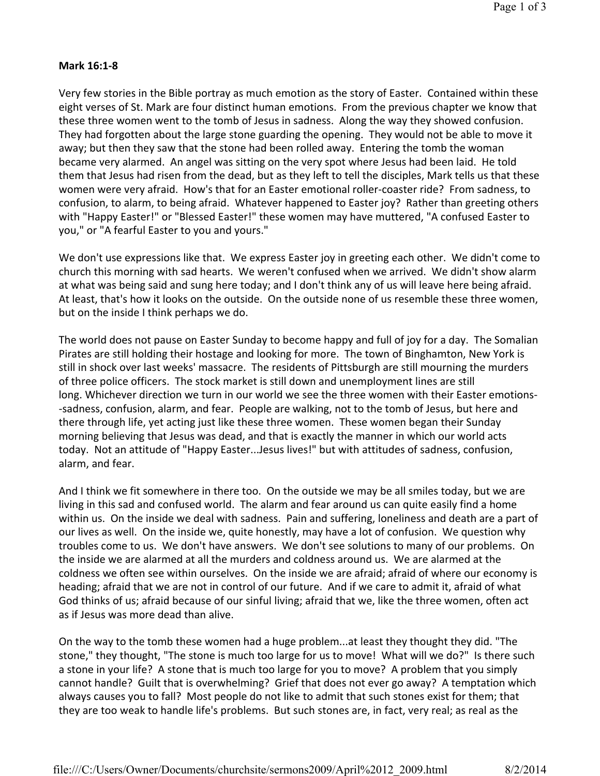## **Mark 16:1-8**

Very few stories in the Bible portray as much emotion as the story of Easter. Contained within these eight verses of St. Mark are four distinct human emotions. From the previous chapter we know that these three women went to the tomb of Jesus in sadness. Along the way they showed confusion. They had forgotten about the large stone guarding the opening. They would not be able to move it away; but then they saw that the stone had been rolled away. Entering the tomb the woman became very alarmed. An angel was sitting on the very spot where Jesus had been laid. He told them that Jesus had risen from the dead, but as they left to tell the disciples, Mark tells us that these women were very afraid. How's that for an Easter emotional roller-coaster ride? From sadness, to confusion, to alarm, to being afraid. Whatever happened to Easter joy? Rather than greeting others with "Happy Easter!" or "Blessed Easter!" these women may have muttered, "A confused Easter to you," or "A fearful Easter to you and yours."

We don't use expressions like that. We express Easter joy in greeting each other. We didn't come to church this morning with sad hearts. We weren't confused when we arrived. We didn't show alarm at what was being said and sung here today; and I don't think any of us will leave here being afraid. At least, that's how it looks on the outside. On the outside none of us resemble these three women, but on the inside I think perhaps we do.

The world does not pause on Easter Sunday to become happy and full of joy for a day. The Somalian Pirates are still holding their hostage and looking for more. The town of Binghamton, New York is still in shock over last weeks' massacre. The residents of Pittsburgh are still mourning the murders of three police officers. The stock market is still down and unemployment lines are still long. Whichever direction we turn in our world we see the three women with their Easter emotions sadness, confusion, alarm, and fear. People are walking, not to the tomb of Jesus, but here and there through life, yet acting just like these three women. These women began their Sunday morning believing that Jesus was dead, and that is exactly the manner in which our world acts today. Not an attitude of "Happy Easter...Jesus lives!" but with attitudes of sadness, confusion, alarm, and fear.

And I think we fit somewhere in there too. On the outside we may be all smiles today, but we are living in this sad and confused world. The alarm and fear around us can quite easily find a home within us. On the inside we deal with sadness. Pain and suffering, loneliness and death are a part of our lives as well. On the inside we, quite honestly, may have a lot of confusion. We question why troubles come to us. We don't have answers. We don't see solutions to many of our problems. On the inside we are alarmed at all the murders and coldness around us. We are alarmed at the coldness we often see within ourselves. On the inside we are afraid; afraid of where our economy is heading; afraid that we are not in control of our future. And if we care to admit it, afraid of what God thinks of us; afraid because of our sinful living; afraid that we, like the three women, often act as if Jesus was more dead than alive.

On the way to the tomb these women had a huge problem...at least they thought they did. "The stone," they thought, "The stone is much too large for us to move! What will we do?" Is there such a stone in your life? A stone that is much too large for you to move? A problem that you simply cannot handle? Guilt that is overwhelming? Grief that does not ever go away? A temptation which always causes you to fall? Most people do not like to admit that such stones exist for them; that they are too weak to handle life's problems. But such stones are, in fact, very real; as real as the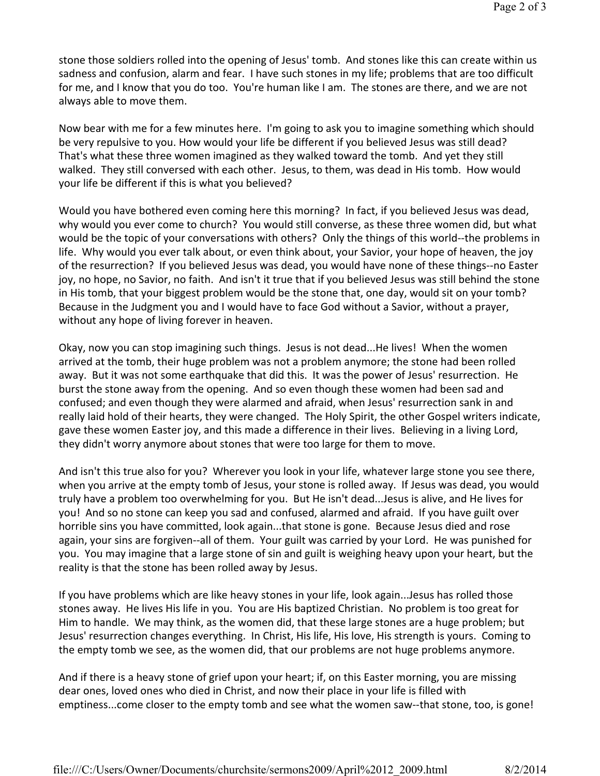stone those soldiers rolled into the opening of Jesus' tomb. And stones like this can create within us sadness and confusion, alarm and fear. I have such stones in my life; problems that are too difficult for me, and I know that you do too. You're human like I am. The stones are there, and we are not always able to move them.

Now bear with me for a few minutes here. I'm going to ask you to imagine something which should be very repulsive to you. How would your life be different if you believed Jesus was still dead? That's what these three women imagined as they walked toward the tomb. And yet they still walked. They still conversed with each other. Jesus, to them, was dead in His tomb. How would your life be different if this is what you believed?

Would you have bothered even coming here this morning? In fact, if you believed Jesus was dead, why would you ever come to church? You would still converse, as these three women did, but what would be the topic of your conversations with others? Only the things of this world--the problems in life. Why would you ever talk about, or even think about, your Savior, your hope of heaven, the joy of the resurrection? If you believed Jesus was dead, you would have none of these things--no Easter joy, no hope, no Savior, no faith. And isn't it true that if you believed Jesus was still behind the stone in His tomb, that your biggest problem would be the stone that, one day, would sit on your tomb? Because in the Judgment you and I would have to face God without a Savior, without a prayer, without any hope of living forever in heaven.

Okay, now you can stop imagining such things. Jesus is not dead...He lives! When the women arrived at the tomb, their huge problem was not a problem anymore; the stone had been rolled away. But it was not some earthquake that did this. It was the power of Jesus' resurrection. He burst the stone away from the opening. And so even though these women had been sad and confused; and even though they were alarmed and afraid, when Jesus' resurrection sank in and really laid hold of their hearts, they were changed. The Holy Spirit, the other Gospel writers indicate, gave these women Easter joy, and this made a difference in their lives. Believing in a living Lord, they didn't worry anymore about stones that were too large for them to move.

And isn't this true also for you? Wherever you look in your life, whatever large stone you see there, when you arrive at the empty tomb of Jesus, your stone is rolled away. If Jesus was dead, you would truly have a problem too overwhelming for you. But He isn't dead...Jesus is alive, and He lives for you! And so no stone can keep you sad and confused, alarmed and afraid. If you have guilt over horrible sins you have committed, look again...that stone is gone. Because Jesus died and rose again, your sins are forgiven--all of them. Your guilt was carried by your Lord. He was punished for you. You may imagine that a large stone of sin and guilt is weighing heavy upon your heart, but the reality is that the stone has been rolled away by Jesus.

If you have problems which are like heavy stones in your life, look again...Jesus has rolled those stones away. He lives His life in you. You are His baptized Christian. No problem is too great for Him to handle. We may think, as the women did, that these large stones are a huge problem; but Jesus' resurrection changes everything. In Christ, His life, His love, His strength is yours. Coming to the empty tomb we see, as the women did, that our problems are not huge problems anymore.

And if there is a heavy stone of grief upon your heart; if, on this Easter morning, you are missing dear ones, loved ones who died in Christ, and now their place in your life is filled with emptiness...come closer to the empty tomb and see what the women saw--that stone, too, is gone!